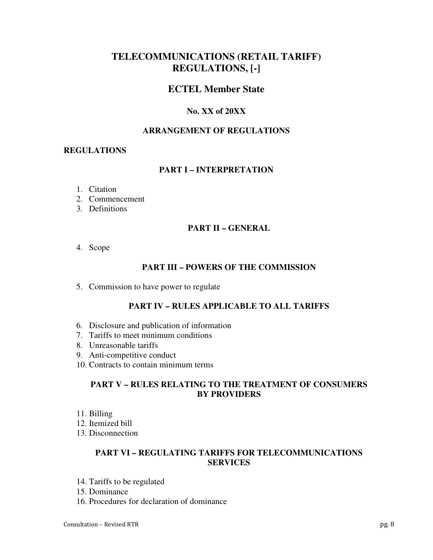# **TELECOMMUNICATIONS (RETAIL TARIFF) REGULATIONS, [-]**

# **ECTEL Member State**

# **No. XX of 20XX**

### **ARRANGEMENT OF REGULATIONS**

#### **REGULATIONS**

# **PART I – INTERPRETATION**

- 1. Citation
- 2. Commencement
- 3. Definitions

# **PART II – GENERAL**

4. Scope

# **PART III – POWERS OF THE COMMISSION**

5. Commission to have power to regulate

#### **PART IV – RULES APPLICABLE TO ALL TARIFFS**

- 6. Disclosure and publication of information
- 7. Tariffs to meet minimum conditions
- 8. Unreasonable tariffs
- 9. Anti-competitive conduct
- 10. Contracts to contain minimum terms

# **PART V – RULES RELATING TO THE TREATMENT OF CONSUMERS BY PROVIDERS**

- 11. Billing
- 12. Itemized bill
- 13. Disconnection

# **PART VI – REGULATING TARIFFS FOR TELECOMMUNICATIONS SERVICES**

- 14. Tariffs to be regulated
- 15. Dominance
- 16. Procedures for declaration of dominance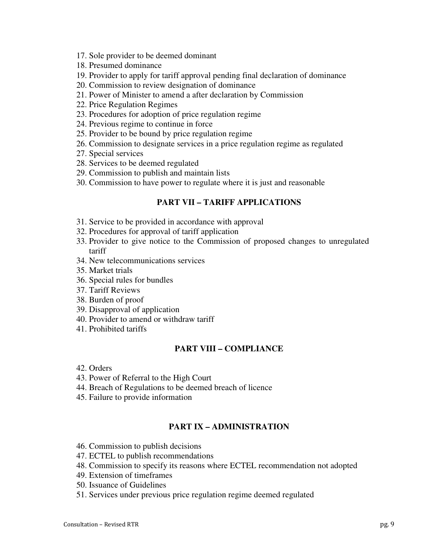- 17. Sole provider to be deemed dominant
- 18. Presumed dominance
- 19. Provider to apply for tariff approval pending final declaration of dominance
- 20. Commission to review designation of dominance
- 21. Power of Minister to amend a after declaration by Commission
- 22. Price Regulation Regimes
- 23. Procedures for adoption of price regulation regime
- 24. Previous regime to continue in force
- 25. Provider to be bound by price regulation regime
- 26. Commission to designate services in a price regulation regime as regulated
- 27. Special services
- 28. Services to be deemed regulated
- 29. Commission to publish and maintain lists
- 30. Commission to have power to regulate where it is just and reasonable

#### **PART VII – TARIFF APPLICATIONS**

- 31. Service to be provided in accordance with approval
- 32. Procedures for approval of tariff application
- 33. Provider to give notice to the Commission of proposed changes to unregulated tariff
- 34. New telecommunications services
- 35. Market trials
- 36. Special rules for bundles
- 37. Tariff Reviews
- 38. Burden of proof
- 39. Disapproval of application
- 40. Provider to amend or withdraw tariff
- 41. Prohibited tariffs

#### **PART VIII – COMPLIANCE**

- 42. Orders
- 43. Power of Referral to the High Court
- 44. Breach of Regulations to be deemed breach of licence
- 45. Failure to provide information

#### **PART IX – ADMINISTRATION**

- 46. Commission to publish decisions
- 47. ECTEL to publish recommendations
- 48. Commission to specify its reasons where ECTEL recommendation not adopted
- 49. Extension of timeframes
- 50. Issuance of Guidelines
- 51. Services under previous price regulation regime deemed regulated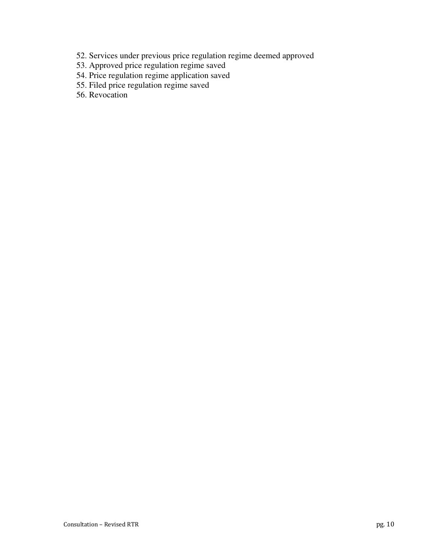- 52. Services under previous price regulation regime deemed approved
- 53. Approved price regulation regime saved
- 54. Price regulation regime application saved
- 55. Filed price regulation regime saved
- 56. Revocation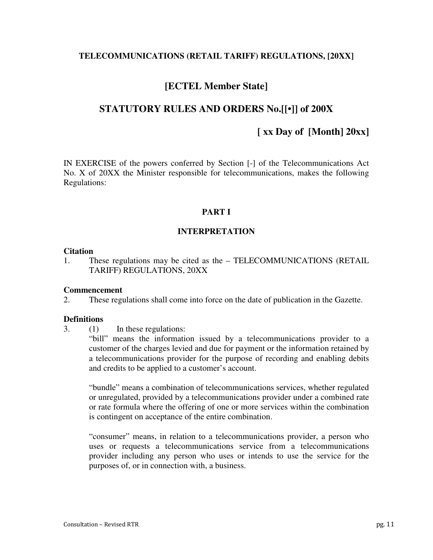# **TELECOMMUNICATIONS (RETAIL TARIFF) REGULATIONS, [20XX]**

# **[ECTEL Member State]**

# **STATUTORY RULES AND ORDERS No.[[•]] of 200X**

# **[ xx Day of [Month] 20xx]**

IN EXERCISE of the powers conferred by Section [-] of the Telecommunications Act No. X of 20XX the Minister responsible for telecommunications, makes the following Regulations:

# **PART I**

# **INTERPRETATION**

#### **Citation**

1. These regulations may be cited as the – TELECOMMUNICATIONS (RETAIL TARIFF) REGULATIONS, 20XX

# **Commencement**

2. These regulations shall come into force on the date of publication in the Gazette.

# **Definitions**

3. (1) In these regulations:

"bill" means the information issued by a telecommunications provider to a customer of the charges levied and due for payment or the information retained by a telecommunications provider for the purpose of recording and enabling debits and credits to be applied to a customer's account.

"bundle" means a combination of telecommunications services, whether regulated or unregulated, provided by a telecommunications provider under a combined rate or rate formula where the offering of one or more services within the combination is contingent on acceptance of the entire combination.

"consumer" means, in relation to a telecommunications provider, a person who uses or requests a telecommunications service from a telecommunications provider including any person who uses or intends to use the service for the purposes of, or in connection with, a business.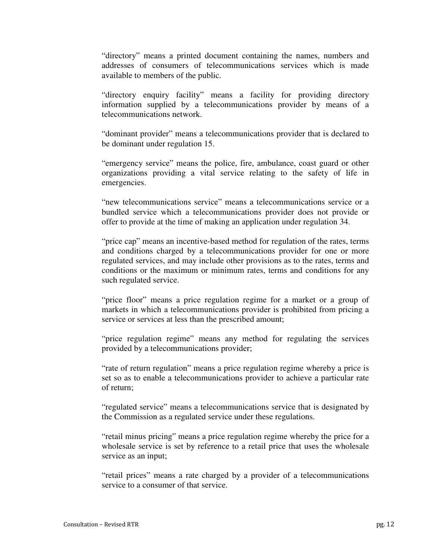"directory" means a printed document containing the names, numbers and addresses of consumers of telecommunications services which is made available to members of the public.

"directory enquiry facility" means a facility for providing directory information supplied by a telecommunications provider by means of a telecommunications network.

"dominant provider" means a telecommunications provider that is declared to be dominant under regulation 15.

"emergency service" means the police, fire, ambulance, coast guard or other organizations providing a vital service relating to the safety of life in emergencies.

"new telecommunications service" means a telecommunications service or a bundled service which a telecommunications provider does not provide or offer to provide at the time of making an application under regulation 34.

"price cap" means an incentive-based method for regulation of the rates, terms and conditions charged by a telecommunications provider for one or more regulated services, and may include other provisions as to the rates, terms and conditions or the maximum or minimum rates, terms and conditions for any such regulated service.

"price floor" means a price regulation regime for a market or a group of markets in which a telecommunications provider is prohibited from pricing a service or services at less than the prescribed amount;

"price regulation regime" means any method for regulating the services provided by a telecommunications provider;

"rate of return regulation" means a price regulation regime whereby a price is set so as to enable a telecommunications provider to achieve a particular rate of return;

"regulated service" means a telecommunications service that is designated by the Commission as a regulated service under these regulations.

"retail minus pricing" means a price regulation regime whereby the price for a wholesale service is set by reference to a retail price that uses the wholesale service as an input;

"retail prices" means a rate charged by a provider of a telecommunications service to a consumer of that service.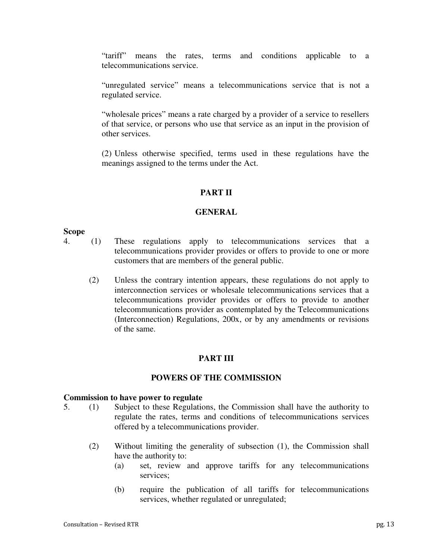"tariff" means the rates, terms and conditions applicable to a telecommunications service.

"unregulated service" means a telecommunications service that is not a regulated service.

"wholesale prices" means a rate charged by a provider of a service to resellers of that service, or persons who use that service as an input in the provision of other services.

(2) Unless otherwise specified, terms used in these regulations have the meanings assigned to the terms under the Act.

# **PART II**

# **GENERAL**

#### **Scope**

- 4. (1) These regulations apply to telecommunications services that a telecommunications provider provides or offers to provide to one or more customers that are members of the general public.
	- (2) Unless the contrary intention appears, these regulations do not apply to interconnection services or wholesale telecommunications services that a telecommunications provider provides or offers to provide to another telecommunications provider as contemplated by the Telecommunications (Interconnection) Regulations, 200x, or by any amendments or revisions of the same.

# **PART III**

# **POWERS OF THE COMMISSION**

#### **Commission to have power to regulate**

- 5. (1) Subject to these Regulations, the Commission shall have the authority to regulate the rates, terms and conditions of telecommunications services offered by a telecommunications provider.
	- (2) Without limiting the generality of subsection (1), the Commission shall have the authority to:
		- (a) set, review and approve tariffs for any telecommunications services;
		- (b) require the publication of all tariffs for telecommunications services, whether regulated or unregulated;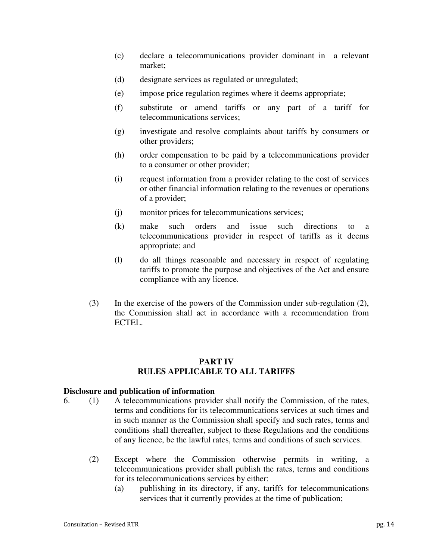- (c) declare a telecommunications provider dominant in a relevant market;
- (d) designate services as regulated or unregulated;
- (e) impose price regulation regimes where it deems appropriate;
- (f) substitute or amend tariffs or any part of a tariff for telecommunications services;
- (g) investigate and resolve complaints about tariffs by consumers or other providers;
- (h) order compensation to be paid by a telecommunications provider to a consumer or other provider;
- (i) request information from a provider relating to the cost of services or other financial information relating to the revenues or operations of a provider;
- (j) monitor prices for telecommunications services;
- (k) make such orders and issue such directions to a telecommunications provider in respect of tariffs as it deems appropriate; and
- (l) do all things reasonable and necessary in respect of regulating tariffs to promote the purpose and objectives of the Act and ensure compliance with any licence.
- (3) In the exercise of the powers of the Commission under sub-regulation (2), the Commission shall act in accordance with a recommendation from ECTEL.

# **PART IV RULES APPLICABLE TO ALL TARIFFS**

#### **Disclosure and publication of information**

- 6. (1) A telecommunications provider shall notify the Commission, of the rates, terms and conditions for its telecommunications services at such times and in such manner as the Commission shall specify and such rates, terms and conditions shall thereafter, subject to these Regulations and the conditions of any licence, be the lawful rates, terms and conditions of such services.
	- (2) Except where the Commission otherwise permits in writing, a telecommunications provider shall publish the rates, terms and conditions for its telecommunications services by either:
		- (a) publishing in its directory, if any, tariffs for telecommunications services that it currently provides at the time of publication;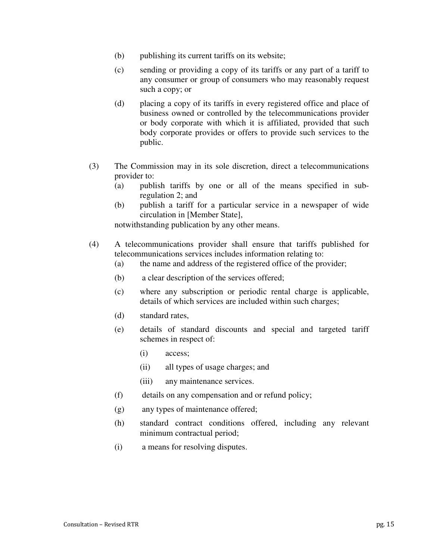- (b) publishing its current tariffs on its website;
- (c) sending or providing a copy of its tariffs or any part of a tariff to any consumer or group of consumers who may reasonably request such a copy; or
- (d) placing a copy of its tariffs in every registered office and place of business owned or controlled by the telecommunications provider or body corporate with which it is affiliated, provided that such body corporate provides or offers to provide such services to the public.
- (3) The Commission may in its sole discretion, direct a telecommunications provider to:
	- (a) publish tariffs by one or all of the means specified in subregulation 2; and
	- (b) publish a tariff for a particular service in a newspaper of wide circulation in [Member State],

notwithstanding publication by any other means.

- (4) A telecommunications provider shall ensure that tariffs published for telecommunications services includes information relating to:
	- (a) the name and address of the registered office of the provider;
	- (b) a clear description of the services offered;
	- (c) where any subscription or periodic rental charge is applicable, details of which services are included within such charges;
	- (d) standard rates,
	- (e) details of standard discounts and special and targeted tariff schemes in respect of:
		- (i) access;
		- (ii) all types of usage charges; and
		- (iii) any maintenance services.
	- (f) details on any compensation and or refund policy;
	- (g) any types of maintenance offered;
	- (h) standard contract conditions offered, including any relevant minimum contractual period;
	- (i) a means for resolving disputes.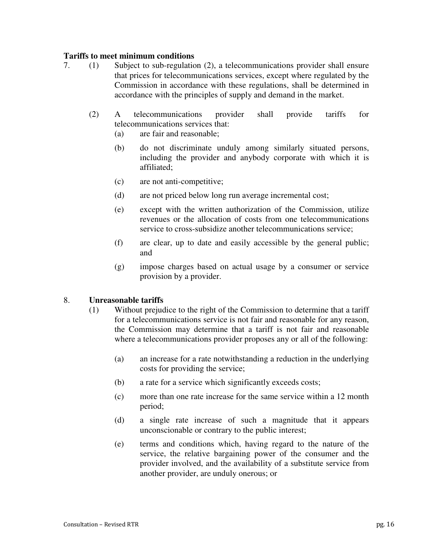# **Tariffs to meet minimum conditions**

- 7. (1) Subject to sub-regulation (2), a telecommunications provider shall ensure that prices for telecommunications services, except where regulated by the Commission in accordance with these regulations, shall be determined in accordance with the principles of supply and demand in the market.
	- (2) A telecommunications provider shall provide tariffs for telecommunications services that:
		- (a) are fair and reasonable;
		- (b) do not discriminate unduly among similarly situated persons, including the provider and anybody corporate with which it is affiliated;
		- (c) are not anti-competitive;
		- (d) are not priced below long run average incremental cost;
		- (e) except with the written authorization of the Commission, utilize revenues or the allocation of costs from one telecommunications service to cross-subsidize another telecommunications service;
		- (f) are clear, up to date and easily accessible by the general public; and
		- (g) impose charges based on actual usage by a consumer or service provision by a provider.

# 8. **Unreasonable tariffs**

- (1) Without prejudice to the right of the Commission to determine that a tariff for a telecommunications service is not fair and reasonable for any reason, the Commission may determine that a tariff is not fair and reasonable where a telecommunications provider proposes any or all of the following:
	- (a) an increase for a rate notwithstanding a reduction in the underlying costs for providing the service;
	- (b) a rate for a service which significantly exceeds costs;
	- (c) more than one rate increase for the same service within a 12 month period;
	- (d) a single rate increase of such a magnitude that it appears unconscionable or contrary to the public interest;
	- (e) terms and conditions which, having regard to the nature of the service, the relative bargaining power of the consumer and the provider involved, and the availability of a substitute service from another provider, are unduly onerous; or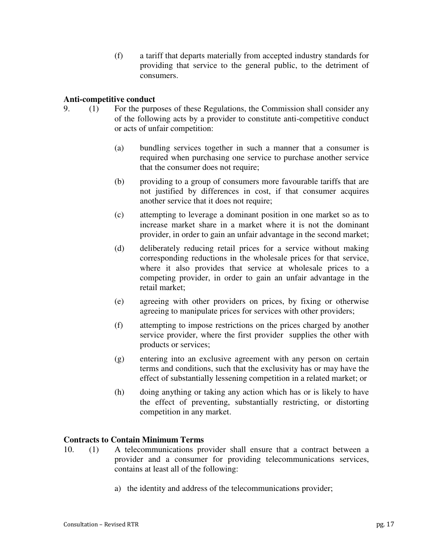(f) a tariff that departs materially from accepted industry standards for providing that service to the general public, to the detriment of consumers.

# **Anti-competitive conduct**

- 9. (1) For the purposes of these Regulations, the Commission shall consider any of the following acts by a provider to constitute anti-competitive conduct or acts of unfair competition:
	- (a) bundling services together in such a manner that a consumer is required when purchasing one service to purchase another service that the consumer does not require;
	- (b) providing to a group of consumers more favourable tariffs that are not justified by differences in cost, if that consumer acquires another service that it does not require;
	- (c) attempting to leverage a dominant position in one market so as to increase market share in a market where it is not the dominant provider, in order to gain an unfair advantage in the second market;
	- (d) deliberately reducing retail prices for a service without making corresponding reductions in the wholesale prices for that service, where it also provides that service at wholesale prices to a competing provider, in order to gain an unfair advantage in the retail market;
	- (e) agreeing with other providers on prices, by fixing or otherwise agreeing to manipulate prices for services with other providers;
	- (f) attempting to impose restrictions on the prices charged by another service provider, where the first provider supplies the other with products or services;
	- (g) entering into an exclusive agreement with any person on certain terms and conditions, such that the exclusivity has or may have the effect of substantially lessening competition in a related market; or
	- (h) doing anything or taking any action which has or is likely to have the effect of preventing, substantially restricting, or distorting competition in any market.

# **Contracts to Contain Minimum Terms**

- 10. (1) A telecommunications provider shall ensure that a contract between a provider and a consumer for providing telecommunications services, contains at least all of the following:
	- a) the identity and address of the telecommunications provider;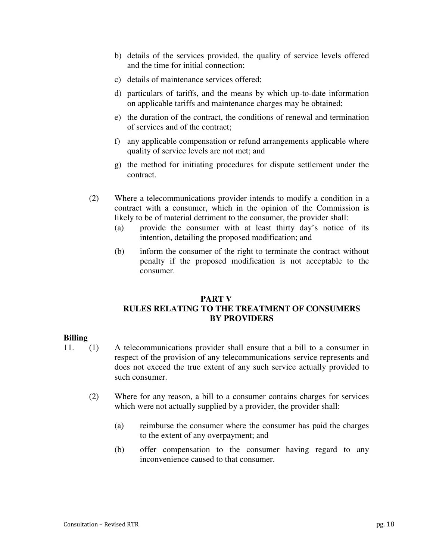- b) details of the services provided, the quality of service levels offered and the time for initial connection;
- c) details of maintenance services offered;
- d) particulars of tariffs, and the means by which up-to-date information on applicable tariffs and maintenance charges may be obtained;
- e) the duration of the contract, the conditions of renewal and termination of services and of the contract;
- f) any applicable compensation or refund arrangements applicable where quality of service levels are not met; and
- g) the method for initiating procedures for dispute settlement under the contract.
- (2) Where a telecommunications provider intends to modify a condition in a contract with a consumer, which in the opinion of the Commission is likely to be of material detriment to the consumer, the provider shall:
	- (a) provide the consumer with at least thirty day's notice of its intention, detailing the proposed modification; and
	- (b) inform the consumer of the right to terminate the contract without penalty if the proposed modification is not acceptable to the consumer.

# **PART V RULES RELATING TO THE TREATMENT OF CONSUMERS BY PROVIDERS**

#### **Billing**

- 11. (1) A telecommunications provider shall ensure that a bill to a consumer in respect of the provision of any telecommunications service represents and does not exceed the true extent of any such service actually provided to such consumer.
	- (2) Where for any reason, a bill to a consumer contains charges for services which were not actually supplied by a provider, the provider shall:
		- (a) reimburse the consumer where the consumer has paid the charges to the extent of any overpayment; and
		- (b) offer compensation to the consumer having regard to any inconvenience caused to that consumer.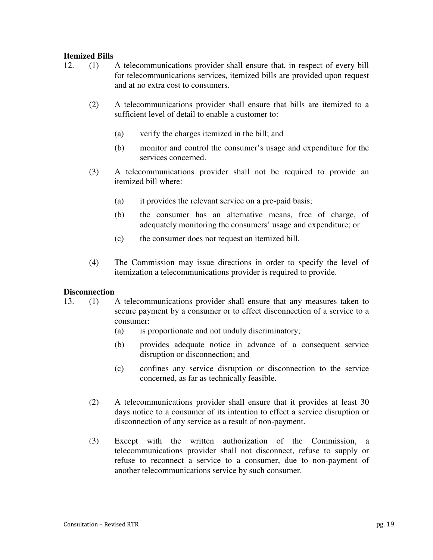# **Itemized Bills**

- 12. (1) A telecommunications provider shall ensure that, in respect of every bill for telecommunications services, itemized bills are provided upon request and at no extra cost to consumers.
	- (2) A telecommunications provider shall ensure that bills are itemized to a sufficient level of detail to enable a customer to:
		- (a) verify the charges itemized in the bill; and
		- (b) monitor and control the consumer's usage and expenditure for the services concerned.
	- (3) A telecommunications provider shall not be required to provide an itemized bill where:
		- (a) it provides the relevant service on a pre-paid basis;
		- (b) the consumer has an alternative means, free of charge, of adequately monitoring the consumers' usage and expenditure; or
		- (c) the consumer does not request an itemized bill.
	- (4) The Commission may issue directions in order to specify the level of itemization a telecommunications provider is required to provide.

# **Disconnection**

- 13. (1) A telecommunications provider shall ensure that any measures taken to secure payment by a consumer or to effect disconnection of a service to a consumer:
	- (a) is proportionate and not unduly discriminatory;
	- (b) provides adequate notice in advance of a consequent service disruption or disconnection; and
	- (c) confines any service disruption or disconnection to the service concerned, as far as technically feasible.
	- (2) A telecommunications provider shall ensure that it provides at least 30 days notice to a consumer of its intention to effect a service disruption or disconnection of any service as a result of non-payment.
	- (3) Except with the written authorization of the Commission, a telecommunications provider shall not disconnect, refuse to supply or refuse to reconnect a service to a consumer, due to non-payment of another telecommunications service by such consumer.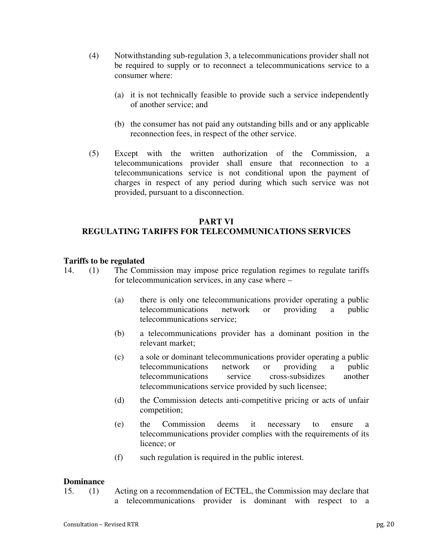- (4) Notwithstanding sub-regulation 3, a telecommunications provider shall not be required to supply or to reconnect a telecommunications service to a consumer where:
	- (a) it is not technically feasible to provide such a service independently of another service; and
	- (b) the consumer has not paid any outstanding bills and or any applicable reconnection fees, in respect of the other service.
- (5) Except with the written authorization of the Commission, a telecommunications provider shall ensure that reconnection to a telecommunications service is not conditional upon the payment of charges in respect of any period during which such service was not provided, pursuant to a disconnection.

# **PART VI**

# **REGULATING TARIFFS FOR TELECOMMUNICATIONS SERVICES**

#### **Tariffs to be regulated**

- 14. (1) The Commission may impose price regulation regimes to regulate tariffs for telecommunication services, in any case where –
	- (a) there is only one telecommunications provider operating a public telecommunications network or providing a public telecommunications service;
	- (b) a telecommunications provider has a dominant position in the relevant market;
	- (c) a sole or dominant telecommunications provider operating a public telecommunications network or providing a public telecommunications service cross-subsidizes another telecommunications service provided by such licensee;
	- (d) the Commission detects anti-competitive pricing or acts of unfair competition;
	- (e) the Commission deems it necessary to ensure a telecommunications provider complies with the requirements of its licence; or
	- (f) such regulation is required in the public interest.

#### **Dominance**

15. (1) Acting on a recommendation of ECTEL, the Commission may declare that a telecommunications provider is dominant with respect to a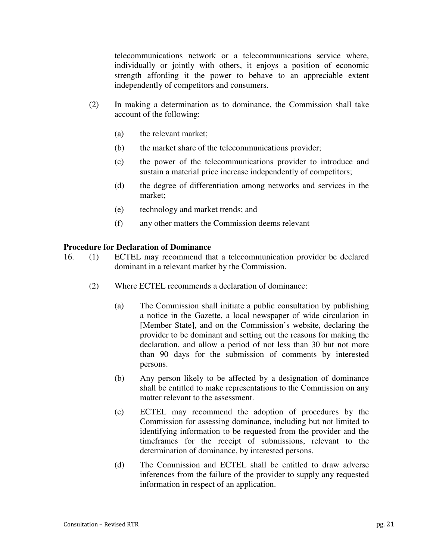telecommunications network or a telecommunications service where, individually or jointly with others, it enjoys a position of economic strength affording it the power to behave to an appreciable extent independently of competitors and consumers.

- (2) In making a determination as to dominance, the Commission shall take account of the following:
	- (a) the relevant market;
	- (b) the market share of the telecommunications provider;
	- (c) the power of the telecommunications provider to introduce and sustain a material price increase independently of competitors;
	- (d) the degree of differentiation among networks and services in the market;
	- (e) technology and market trends; and
	- (f) any other matters the Commission deems relevant

# **Procedure for Declaration of Dominance**

- 16. (1) ECTEL may recommend that a telecommunication provider be declared dominant in a relevant market by the Commission.
	- (2) Where ECTEL recommends a declaration of dominance:
		- (a) The Commission shall initiate a public consultation by publishing a notice in the Gazette, a local newspaper of wide circulation in [Member State], and on the Commission's website, declaring the provider to be dominant and setting out the reasons for making the declaration, and allow a period of not less than 30 but not more than 90 days for the submission of comments by interested persons.
		- (b) Any person likely to be affected by a designation of dominance shall be entitled to make representations to the Commission on any matter relevant to the assessment.
		- (c) ECTEL may recommend the adoption of procedures by the Commission for assessing dominance, including but not limited to identifying information to be requested from the provider and the timeframes for the receipt of submissions, relevant to the determination of dominance, by interested persons.
		- (d) The Commission and ECTEL shall be entitled to draw adverse inferences from the failure of the provider to supply any requested information in respect of an application.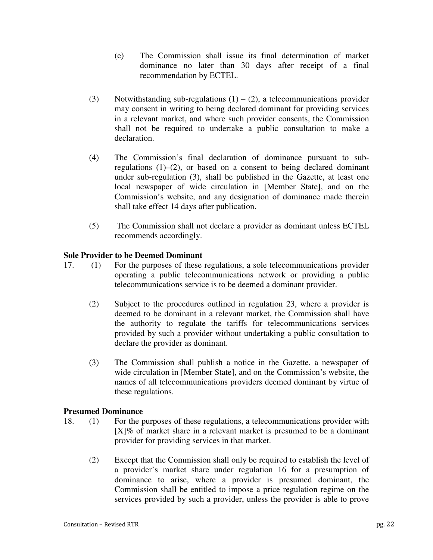- (e) The Commission shall issue its final determination of market dominance no later than 30 days after receipt of a final recommendation by ECTEL.
- (3) Notwithstanding sub-regulations  $(1) (2)$ , a telecommunications provider may consent in writing to being declared dominant for providing services in a relevant market, and where such provider consents, the Commission shall not be required to undertake a public consultation to make a declaration.
- (4) The Commission's final declaration of dominance pursuant to subregulations (1)–(2), or based on a consent to being declared dominant under sub-regulation (3), shall be published in the Gazette, at least one local newspaper of wide circulation in [Member State], and on the Commission's website, and any designation of dominance made therein shall take effect 14 days after publication.
- (5) The Commission shall not declare a provider as dominant unless ECTEL recommends accordingly.

# **Sole Provider to be Deemed Dominant**

- 17. (1) For the purposes of these regulations, a sole telecommunications provider operating a public telecommunications network or providing a public telecommunications service is to be deemed a dominant provider.
	- (2) Subject to the procedures outlined in regulation 23, where a provider is deemed to be dominant in a relevant market, the Commission shall have the authority to regulate the tariffs for telecommunications services provided by such a provider without undertaking a public consultation to declare the provider as dominant.
	- (3) The Commission shall publish a notice in the Gazette, a newspaper of wide circulation in [Member State], and on the Commission's website, the names of all telecommunications providers deemed dominant by virtue of these regulations.

# **Presumed Dominance**

- 18. (1) For the purposes of these regulations, a telecommunications provider with [X]% of market share in a relevant market is presumed to be a dominant provider for providing services in that market.
	- (2) Except that the Commission shall only be required to establish the level of a provider's market share under regulation 16 for a presumption of dominance to arise, where a provider is presumed dominant, the Commission shall be entitled to impose a price regulation regime on the services provided by such a provider, unless the provider is able to prove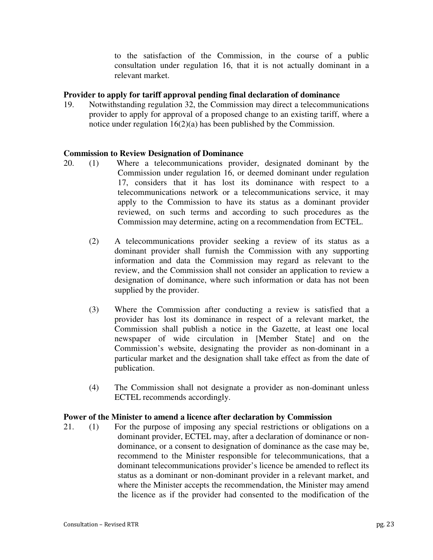to the satisfaction of the Commission, in the course of a public consultation under regulation 16, that it is not actually dominant in a relevant market.

# **Provider to apply for tariff approval pending final declaration of dominance**

19. Notwithstanding regulation 32, the Commission may direct a telecommunications provider to apply for approval of a proposed change to an existing tariff, where a notice under regulation 16(2)(a) has been published by the Commission.

#### **Commission to Review Designation of Dominance**

- 20. (1) Where a telecommunications provider, designated dominant by the Commission under regulation 16, or deemed dominant under regulation 17, considers that it has lost its dominance with respect to a telecommunications network or a telecommunications service, it may apply to the Commission to have its status as a dominant provider reviewed, on such terms and according to such procedures as the Commission may determine, acting on a recommendation from ECTEL.
	- (2) A telecommunications provider seeking a review of its status as a dominant provider shall furnish the Commission with any supporting information and data the Commission may regard as relevant to the review, and the Commission shall not consider an application to review a designation of dominance, where such information or data has not been supplied by the provider.
	- (3) Where the Commission after conducting a review is satisfied that a provider has lost its dominance in respect of a relevant market, the Commission shall publish a notice in the Gazette, at least one local newspaper of wide circulation in [Member State] and on the Commission's website, designating the provider as non-dominant in a particular market and the designation shall take effect as from the date of publication.
	- (4) The Commission shall not designate a provider as non-dominant unless ECTEL recommends accordingly.

#### **Power of the Minister to amend a licence after declaration by Commission**

21. (1) For the purpose of imposing any special restrictions or obligations on a dominant provider, ECTEL may, after a declaration of dominance or nondominance, or a consent to designation of dominance as the case may be, recommend to the Minister responsible for telecommunications, that a dominant telecommunications provider's licence be amended to reflect its status as a dominant or non-dominant provider in a relevant market, and where the Minister accepts the recommendation, the Minister may amend the licence as if the provider had consented to the modification of the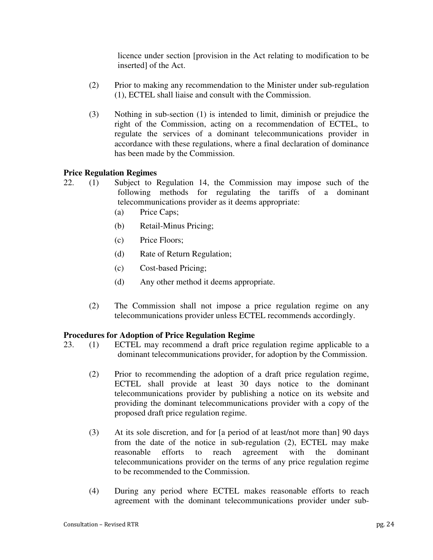licence under section [provision in the Act relating to modification to be inserted] of the Act.

- (2) Prior to making any recommendation to the Minister under sub-regulation (1), ECTEL shall liaise and consult with the Commission.
- (3) Nothing in sub-section (1) is intended to limit, diminish or prejudice the right of the Commission, acting on a recommendation of ECTEL, to regulate the services of a dominant telecommunications provider in accordance with these regulations, where a final declaration of dominance has been made by the Commission.

# **Price Regulation Regimes**

- 22. (1) Subject to Regulation 14, the Commission may impose such of the following methods for regulating the tariffs of a dominant telecommunications provider as it deems appropriate:
	- (a) Price Caps;
	- (b) Retail-Minus Pricing;
	- (c) Price Floors;
	- (d) Rate of Return Regulation;
	- (c) Cost-based Pricing;
	- (d) Any other method it deems appropriate.
	- (2) The Commission shall not impose a price regulation regime on any telecommunications provider unless ECTEL recommends accordingly.

# **Procedures for Adoption of Price Regulation Regime**

- 23. (1) ECTEL may recommend a draft price regulation regime applicable to a dominant telecommunications provider, for adoption by the Commission.
	- (2) Prior to recommending the adoption of a draft price regulation regime, ECTEL shall provide at least 30 days notice to the dominant telecommunications provider by publishing a notice on its website and providing the dominant telecommunications provider with a copy of the proposed draft price regulation regime.
	- (3) At its sole discretion, and for [a period of at least/not more than] 90 days from the date of the notice in sub-regulation (2), ECTEL may make reasonable efforts to reach agreement with the dominant telecommunications provider on the terms of any price regulation regime to be recommended to the Commission.
	- (4) During any period where ECTEL makes reasonable efforts to reach agreement with the dominant telecommunications provider under sub-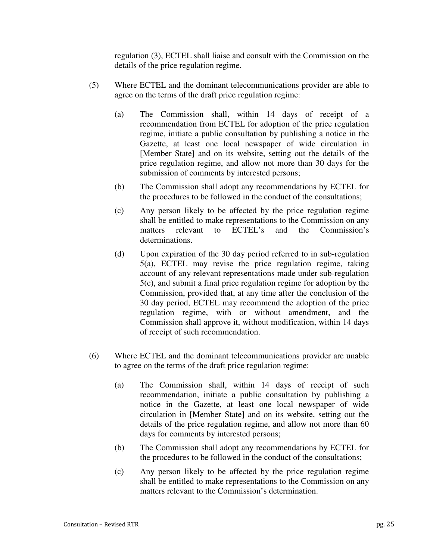regulation (3), ECTEL shall liaise and consult with the Commission on the details of the price regulation regime.

- (5) Where ECTEL and the dominant telecommunications provider are able to agree on the terms of the draft price regulation regime:
	- (a) The Commission shall, within 14 days of receipt of a recommendation from ECTEL for adoption of the price regulation regime, initiate a public consultation by publishing a notice in the Gazette, at least one local newspaper of wide circulation in [Member State] and on its website, setting out the details of the price regulation regime, and allow not more than 30 days for the submission of comments by interested persons;
	- (b) The Commission shall adopt any recommendations by ECTEL for the procedures to be followed in the conduct of the consultations;
	- (c) Any person likely to be affected by the price regulation regime shall be entitled to make representations to the Commission on any matters relevant to ECTEL's and the Commission's determinations.
	- (d) Upon expiration of the 30 day period referred to in sub-regulation 5(a), ECTEL may revise the price regulation regime, taking account of any relevant representations made under sub-regulation 5(c), and submit a final price regulation regime for adoption by the Commission, provided that, at any time after the conclusion of the 30 day period, ECTEL may recommend the adoption of the price regulation regime, with or without amendment, and the Commission shall approve it, without modification, within 14 days of receipt of such recommendation.
- (6) Where ECTEL and the dominant telecommunications provider are unable to agree on the terms of the draft price regulation regime:
	- (a) The Commission shall, within 14 days of receipt of such recommendation, initiate a public consultation by publishing a notice in the Gazette, at least one local newspaper of wide circulation in [Member State] and on its website, setting out the details of the price regulation regime, and allow not more than 60 days for comments by interested persons;
	- (b) The Commission shall adopt any recommendations by ECTEL for the procedures to be followed in the conduct of the consultations;
	- (c) Any person likely to be affected by the price regulation regime shall be entitled to make representations to the Commission on any matters relevant to the Commission's determination.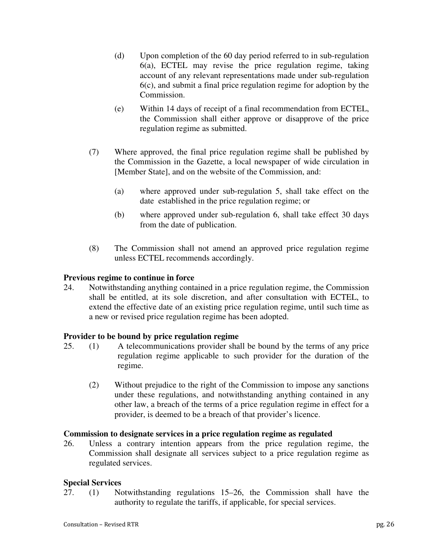- (d) Upon completion of the 60 day period referred to in sub-regulation 6(a), ECTEL may revise the price regulation regime, taking account of any relevant representations made under sub-regulation 6(c), and submit a final price regulation regime for adoption by the Commission.
- (e) Within 14 days of receipt of a final recommendation from ECTEL, the Commission shall either approve or disapprove of the price regulation regime as submitted.
- (7) Where approved, the final price regulation regime shall be published by the Commission in the Gazette, a local newspaper of wide circulation in [Member State], and on the website of the Commission, and:
	- (a) where approved under sub-regulation 5, shall take effect on the date established in the price regulation regime; or
	- (b) where approved under sub-regulation 6, shall take effect 30 days from the date of publication.
- (8) The Commission shall not amend an approved price regulation regime unless ECTEL recommends accordingly.

# **Previous regime to continue in force**

24. Notwithstanding anything contained in a price regulation regime, the Commission shall be entitled, at its sole discretion, and after consultation with ECTEL, to extend the effective date of an existing price regulation regime, until such time as a new or revised price regulation regime has been adopted.

# **Provider to be bound by price regulation regime**

- 25. (1) A telecommunications provider shall be bound by the terms of any price regulation regime applicable to such provider for the duration of the regime.
	- (2) Without prejudice to the right of the Commission to impose any sanctions under these regulations, and notwithstanding anything contained in any other law, a breach of the terms of a price regulation regime in effect for a provider, is deemed to be a breach of that provider's licence.

# **Commission to designate services in a price regulation regime as regulated**

26. Unless a contrary intention appears from the price regulation regime, the Commission shall designate all services subject to a price regulation regime as regulated services.

# **Special Services**

27. (1) Notwithstanding regulations 15–26, the Commission shall have the authority to regulate the tariffs, if applicable, for special services.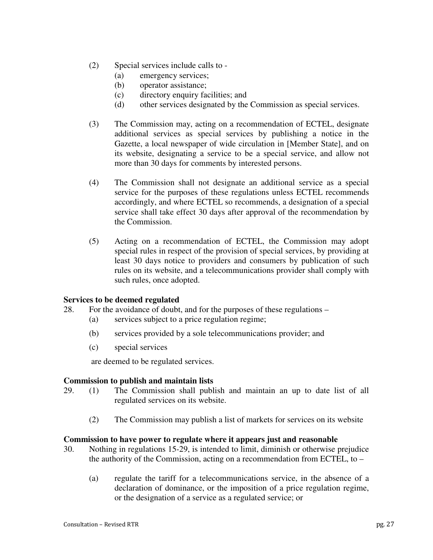- (2) Special services include calls to
	- (a) emergency services;
	- (b) operator assistance;
	- (c) directory enquiry facilities; and
	- (d) other services designated by the Commission as special services.
- (3) The Commission may, acting on a recommendation of ECTEL, designate additional services as special services by publishing a notice in the Gazette, a local newspaper of wide circulation in [Member State], and on its website, designating a service to be a special service, and allow not more than 30 days for comments by interested persons.
- (4) The Commission shall not designate an additional service as a special service for the purposes of these regulations unless ECTEL recommends accordingly, and where ECTEL so recommends, a designation of a special service shall take effect 30 days after approval of the recommendation by the Commission.
- (5) Acting on a recommendation of ECTEL, the Commission may adopt special rules in respect of the provision of special services, by providing at least 30 days notice to providers and consumers by publication of such rules on its website, and a telecommunications provider shall comply with such rules, once adopted.

# **Services to be deemed regulated**

- 28. For the avoidance of doubt, and for the purposes of these regulations
	- (a) services subject to a price regulation regime;
	- (b) services provided by a sole telecommunications provider; and
	- (c) special services

are deemed to be regulated services.

#### **Commission to publish and maintain lists**

- 29. (1) The Commission shall publish and maintain an up to date list of all regulated services on its website.
	- (2) The Commission may publish a list of markets for services on its website

#### **Commission to have power to regulate where it appears just and reasonable**

- 30. Nothing in regulations 15-29, is intended to limit, diminish or otherwise prejudice the authority of the Commission, acting on a recommendation from ECTEL, to –
	- (a) regulate the tariff for a telecommunications service, in the absence of a declaration of dominance, or the imposition of a price regulation regime, or the designation of a service as a regulated service; or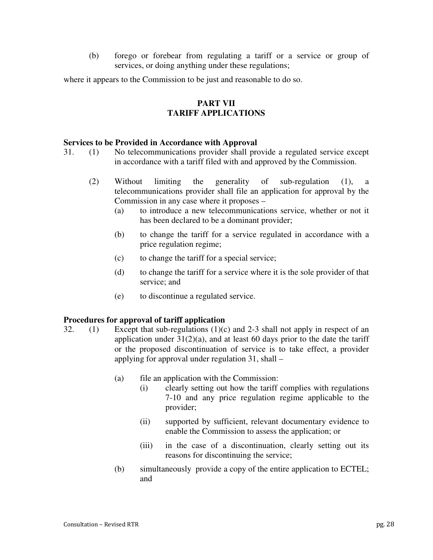(b) forego or forebear from regulating a tariff or a service or group of services, or doing anything under these regulations;

where it appears to the Commission to be just and reasonable to do so.

# **PART VII TARIFF APPLICATIONS**

# **Services to be Provided in Accordance with Approval**

31. (1) No telecommunications provider shall provide a regulated service except in accordance with a tariff filed with and approved by the Commission.

- (2) Without limiting the generality of sub-regulation (1), a telecommunications provider shall file an application for approval by the Commission in any case where it proposes –
	- (a) to introduce a new telecommunications service, whether or not it has been declared to be a dominant provider;
	- (b) to change the tariff for a service regulated in accordance with a price regulation regime;
	- (c) to change the tariff for a special service;
	- (d) to change the tariff for a service where it is the sole provider of that service; and
	- (e) to discontinue a regulated service.

# **Procedures for approval of tariff application**

- 32. (1) Except that sub-regulations  $(1)(c)$  and 2-3 shall not apply in respect of an application under  $31(2)(a)$ , and at least 60 days prior to the date the tariff or the proposed discontinuation of service is to take effect, a provider applying for approval under regulation 31, shall –
	- (a) file an application with the Commission:
		- (i) clearly setting out how the tariff complies with regulations 7-10 and any price regulation regime applicable to the provider;
		- (ii) supported by sufficient, relevant documentary evidence to enable the Commission to assess the application; or
		- (iii) in the case of a discontinuation, clearly setting out its reasons for discontinuing the service;
	- (b) simultaneously provide a copy of the entire application to ECTEL; and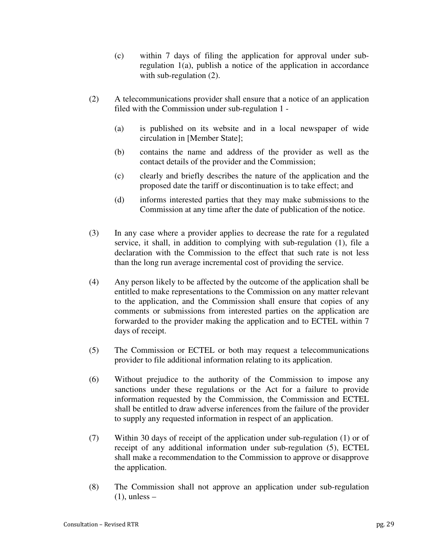- (c) within 7 days of filing the application for approval under subregulation 1(a), publish a notice of the application in accordance with sub-regulation (2).
- (2) A telecommunications provider shall ensure that a notice of an application filed with the Commission under sub-regulation 1 -
	- (a) is published on its website and in a local newspaper of wide circulation in [Member State];
	- (b) contains the name and address of the provider as well as the contact details of the provider and the Commission;
	- (c) clearly and briefly describes the nature of the application and the proposed date the tariff or discontinuation is to take effect; and
	- (d) informs interested parties that they may make submissions to the Commission at any time after the date of publication of the notice.
- (3) In any case where a provider applies to decrease the rate for a regulated service, it shall, in addition to complying with sub-regulation (1), file a declaration with the Commission to the effect that such rate is not less than the long run average incremental cost of providing the service.
- (4) Any person likely to be affected by the outcome of the application shall be entitled to make representations to the Commission on any matter relevant to the application, and the Commission shall ensure that copies of any comments or submissions from interested parties on the application are forwarded to the provider making the application and to ECTEL within 7 days of receipt.
- (5) The Commission or ECTEL or both may request a telecommunications provider to file additional information relating to its application.
- (6) Without prejudice to the authority of the Commission to impose any sanctions under these regulations or the Act for a failure to provide information requested by the Commission, the Commission and ECTEL shall be entitled to draw adverse inferences from the failure of the provider to supply any requested information in respect of an application.
- (7) Within 30 days of receipt of the application under sub-regulation (1) or of receipt of any additional information under sub-regulation (5), ECTEL shall make a recommendation to the Commission to approve or disapprove the application.
- (8) The Commission shall not approve an application under sub-regulation  $(1)$ , unless –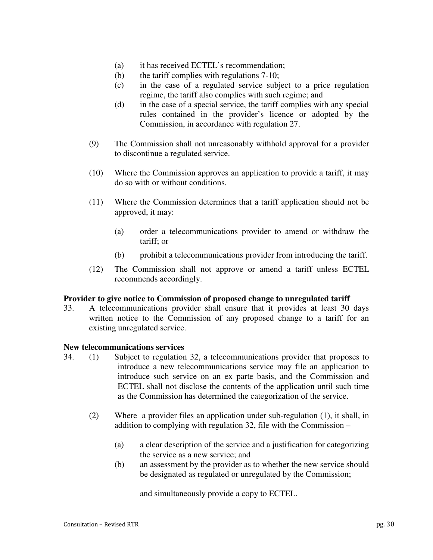- (a) it has received ECTEL's recommendation;
- (b) the tariff complies with regulations 7-10;
- (c) in the case of a regulated service subject to a price regulation regime, the tariff also complies with such regime; and
- (d) in the case of a special service, the tariff complies with any special rules contained in the provider's licence or adopted by the Commission, in accordance with regulation 27.
- (9) The Commission shall not unreasonably withhold approval for a provider to discontinue a regulated service.
- (10) Where the Commission approves an application to provide a tariff, it may do so with or without conditions.
- (11) Where the Commission determines that a tariff application should not be approved, it may:
	- (a) order a telecommunications provider to amend or withdraw the tariff; or
	- (b) prohibit a telecommunications provider from introducing the tariff.
- (12) The Commission shall not approve or amend a tariff unless ECTEL recommends accordingly.

#### **Provider to give notice to Commission of proposed change to unregulated tariff**

33. A telecommunications provider shall ensure that it provides at least 30 days written notice to the Commission of any proposed change to a tariff for an existing unregulated service.

#### **New telecommunications services**

- 34. (1) Subject to regulation 32, a telecommunications provider that proposes to introduce a new telecommunications service may file an application to introduce such service on an ex parte basis, and the Commission and ECTEL shall not disclose the contents of the application until such time as the Commission has determined the categorization of the service.
	- (2) Where a provider files an application under sub-regulation (1), it shall, in addition to complying with regulation 32, file with the Commission –
		- (a) a clear description of the service and a justification for categorizing the service as a new service; and
		- (b) an assessment by the provider as to whether the new service should be designated as regulated or unregulated by the Commission;

and simultaneously provide a copy to ECTEL.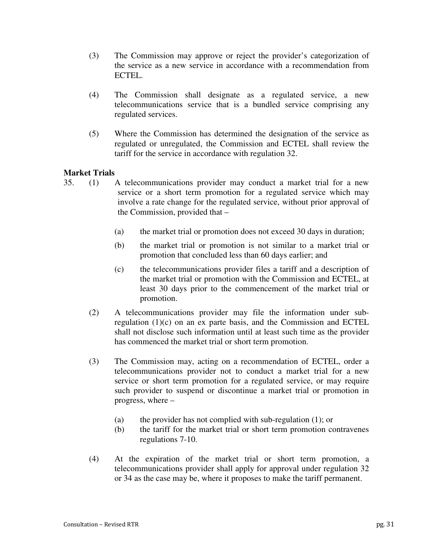- (3) The Commission may approve or reject the provider's categorization of the service as a new service in accordance with a recommendation from ECTEL.
- (4) The Commission shall designate as a regulated service, a new telecommunications service that is a bundled service comprising any regulated services.
- (5) Where the Commission has determined the designation of the service as regulated or unregulated, the Commission and ECTEL shall review the tariff for the service in accordance with regulation 32.

# **Market Trials**

- 35. (1) A telecommunications provider may conduct a market trial for a new service or a short term promotion for a regulated service which may involve a rate change for the regulated service, without prior approval of the Commission, provided that –
	- (a) the market trial or promotion does not exceed 30 days in duration;
	- (b) the market trial or promotion is not similar to a market trial or promotion that concluded less than 60 days earlier; and
	- (c) the telecommunications provider files a tariff and a description of the market trial or promotion with the Commission and ECTEL, at least 30 days prior to the commencement of the market trial or promotion.
	- (2) A telecommunications provider may file the information under subregulation (1)(c) on an ex parte basis, and the Commission and ECTEL shall not disclose such information until at least such time as the provider has commenced the market trial or short term promotion.
	- (3) The Commission may, acting on a recommendation of ECTEL, order a telecommunications provider not to conduct a market trial for a new service or short term promotion for a regulated service, or may require such provider to suspend or discontinue a market trial or promotion in progress, where –
		- (a) the provider has not complied with sub-regulation (1); or
		- (b) the tariff for the market trial or short term promotion contravenes regulations 7-10.
	- (4) At the expiration of the market trial or short term promotion, a telecommunications provider shall apply for approval under regulation 32 or 34 as the case may be, where it proposes to make the tariff permanent.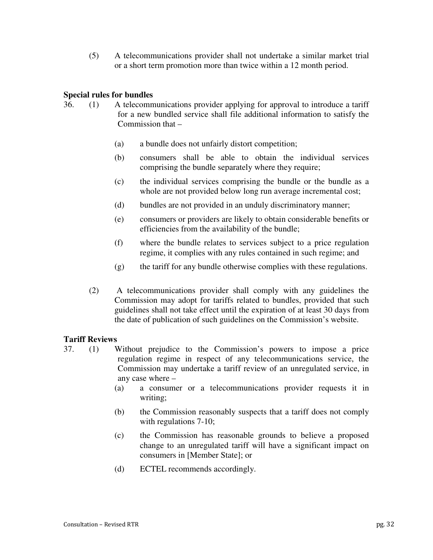(5) A telecommunications provider shall not undertake a similar market trial or a short term promotion more than twice within a 12 month period.

# **Special rules for bundles**

- 36. (1) A telecommunications provider applying for approval to introduce a tariff for a new bundled service shall file additional information to satisfy the Commission that –
	- (a) a bundle does not unfairly distort competition;
	- (b) consumers shall be able to obtain the individual services comprising the bundle separately where they require;
	- (c) the individual services comprising the bundle or the bundle as a whole are not provided below long run average incremental cost;
	- (d) bundles are not provided in an unduly discriminatory manner;
	- (e) consumers or providers are likely to obtain considerable benefits or efficiencies from the availability of the bundle;
	- (f) where the bundle relates to services subject to a price regulation regime, it complies with any rules contained in such regime; and
	- (g) the tariff for any bundle otherwise complies with these regulations.
	- (2) A telecommunications provider shall comply with any guidelines the Commission may adopt for tariffs related to bundles, provided that such guidelines shall not take effect until the expiration of at least 30 days from the date of publication of such guidelines on the Commission's website.

# **Tariff Reviews**

- 37. (1) Without prejudice to the Commission's powers to impose a price regulation regime in respect of any telecommunications service, the Commission may undertake a tariff review of an unregulated service, in any case where –
	- (a) a consumer or a telecommunications provider requests it in writing;
	- (b) the Commission reasonably suspects that a tariff does not comply with regulations 7-10;
	- (c) the Commission has reasonable grounds to believe a proposed change to an unregulated tariff will have a significant impact on consumers in [Member State]; or
	- (d) ECTEL recommends accordingly.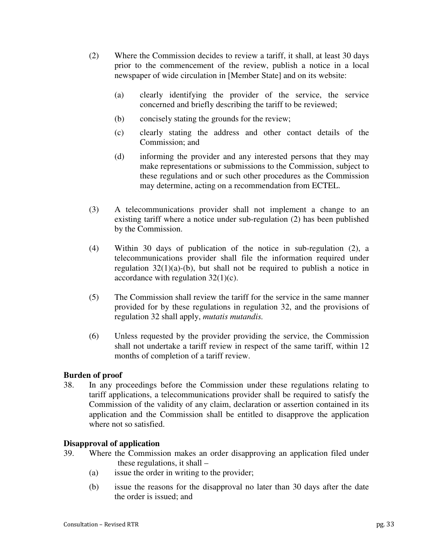- (2) Where the Commission decides to review a tariff, it shall, at least 30 days prior to the commencement of the review, publish a notice in a local newspaper of wide circulation in [Member State] and on its website:
	- (a) clearly identifying the provider of the service, the service concerned and briefly describing the tariff to be reviewed;
	- (b) concisely stating the grounds for the review;
	- (c) clearly stating the address and other contact details of the Commission; and
	- (d) informing the provider and any interested persons that they may make representations or submissions to the Commission, subject to these regulations and or such other procedures as the Commission may determine, acting on a recommendation from ECTEL.
- (3) A telecommunications provider shall not implement a change to an existing tariff where a notice under sub-regulation (2) has been published by the Commission.
- (4) Within 30 days of publication of the notice in sub-regulation (2), a telecommunications provider shall file the information required under regulation  $32(1)(a)$ -(b), but shall not be required to publish a notice in accordance with regulation  $32(1)(c)$ .
- (5) The Commission shall review the tariff for the service in the same manner provided for by these regulations in regulation 32, and the provisions of regulation 32 shall apply, *mutatis mutandis.*
- (6) Unless requested by the provider providing the service, the Commission shall not undertake a tariff review in respect of the same tariff, within 12 months of completion of a tariff review.

# **Burden of proof**

38. In any proceedings before the Commission under these regulations relating to tariff applications, a telecommunications provider shall be required to satisfy the Commission of the validity of any claim, declaration or assertion contained in its application and the Commission shall be entitled to disapprove the application where not so satisfied.

# **Disapproval of application**

- 39. Where the Commission makes an order disapproving an application filed under these regulations, it shall –
	- (a) issue the order in writing to the provider;
	- (b) issue the reasons for the disapproval no later than 30 days after the date the order is issued; and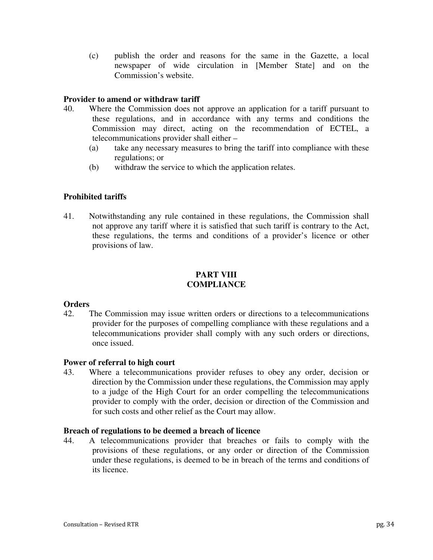(c) publish the order and reasons for the same in the Gazette, a local newspaper of wide circulation in [Member State] and on the Commission's website.

# **Provider to amend or withdraw tariff**

- 40. Where the Commission does not approve an application for a tariff pursuant to these regulations, and in accordance with any terms and conditions the Commission may direct, acting on the recommendation of ECTEL, a telecommunications provider shall either –
	- (a) take any necessary measures to bring the tariff into compliance with these regulations; or
	- (b) withdraw the service to which the application relates.

# **Prohibited tariffs**

41. Notwithstanding any rule contained in these regulations, the Commission shall not approve any tariff where it is satisfied that such tariff is contrary to the Act, these regulations, the terms and conditions of a provider's licence or other provisions of law.

# **PART VIII COMPLIANCE**

#### **Orders**

42. The Commission may issue written orders or directions to a telecommunications provider for the purposes of compelling compliance with these regulations and a telecommunications provider shall comply with any such orders or directions, once issued.

# **Power of referral to high court**

43. Where a telecommunications provider refuses to obey any order, decision or direction by the Commission under these regulations, the Commission may apply to a judge of the High Court for an order compelling the telecommunications provider to comply with the order, decision or direction of the Commission and for such costs and other relief as the Court may allow.

# **Breach of regulations to be deemed a breach of licence**

44. A telecommunications provider that breaches or fails to comply with the provisions of these regulations, or any order or direction of the Commission under these regulations, is deemed to be in breach of the terms and conditions of its licence.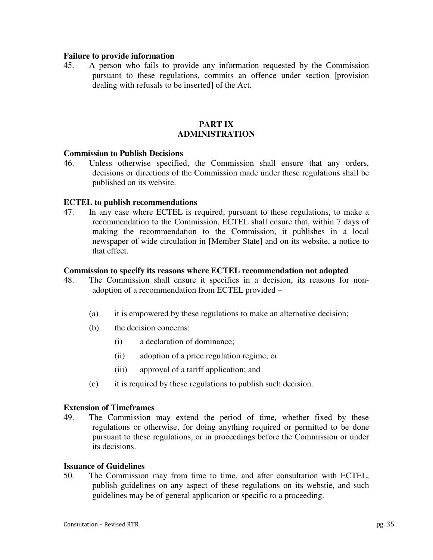#### **Failure to provide information**

45. A person who fails to provide any information requested by the Commission pursuant to these regulations, commits an offence under section [provision dealing with refusals to be inserted] of the Act.

# **PART IX ADMINISTRATION**

#### **Commission to Publish Decisions**

46. Unless otherwise specified, the Commission shall ensure that any orders, decisions or directions of the Commission made under these regulations shall be published on its website.

#### **ECTEL to publish recommendations**

47. In any case where ECTEL is required, pursuant to these regulations, to make a recommendation to the Commission, ECTEL shall ensure that, within 7 days of making the recommendation to the Commission, it publishes in a local newspaper of wide circulation in [Member State] and on its website, a notice to that effect.

#### **Commission to specify its reasons where ECTEL recommendation not adopted**

- 48. The Commission shall ensure it specifies in a decision, its reasons for nonadoption of a recommendation from ECTEL provided –
	- (a) it is empowered by these regulations to make an alternative decision;
	- (b) the decision concerns:
		- (i) a declaration of dominance;
		- (ii) adoption of a price regulation regime; or
		- (iii) approval of a tariff application; and
	- (c) it is required by these regulations to publish such decision.

#### **Extension of Timeframes**

49. The Commission may extend the period of time, whether fixed by these regulations or otherwise, for doing anything required or permitted to be done pursuant to these regulations, or in proceedings before the Commission or under its decisions.

#### **Issuance of Guidelines**

50. The Commission may from time to time, and after consultation with ECTEL, publish guidelines on any aspect of these regulations on its webstie, and such guidelines may be of general application or specific to a proceeding.